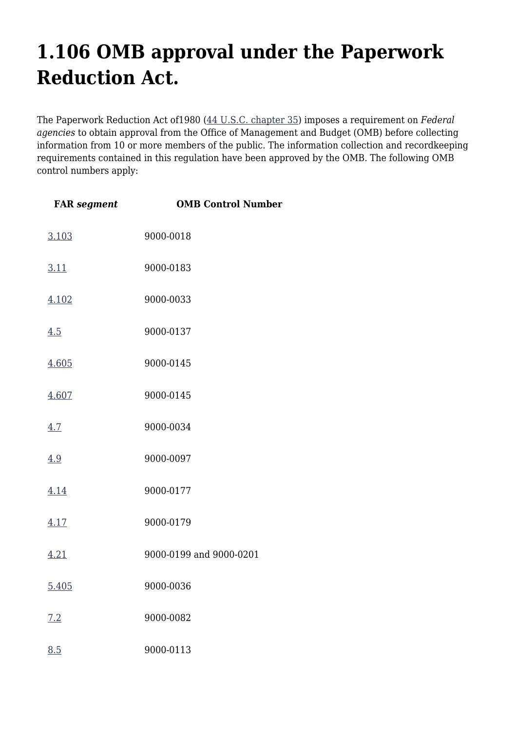## **1.106 OMB approval under the Paperwork Reduction Act.**

The Paperwork Reduction Act of1980 [\(44 U.S.C. chapter 35\)](http://uscode.house.gov/browse.xhtml;jsessionid=114A3287C7B3359E597506A31FC855B3) imposes a requirement on *Federal agencies* to obtain approval from the Office of Management and Budget (OMB) before collecting information from 10 or more members of the public. The information collection and recordkeeping requirements contained in this regulation have been approved by the OMB. The following OMB control numbers apply:

| <b>FAR</b> segment | <b>OMB Control Number</b> |
|--------------------|---------------------------|
| 3.103              | 9000-0018                 |
| 3.11               | 9000-0183                 |
| 4.102              | 9000-0033                 |
| 4.5                | 9000-0137                 |
| 4.605              | 9000-0145                 |
| 4.607              | 9000-0145                 |
| 4.7                | 9000-0034                 |
| 4.9                | 9000-0097                 |
| 4.14               | 9000-0177                 |
| 4.17               | 9000-0179                 |
| 4.21               | 9000-0199 and 9000-0201   |
| 5.405              | 9000-0036                 |
| 7.2                | 9000-0082                 |
| 8.5                | 9000-0113                 |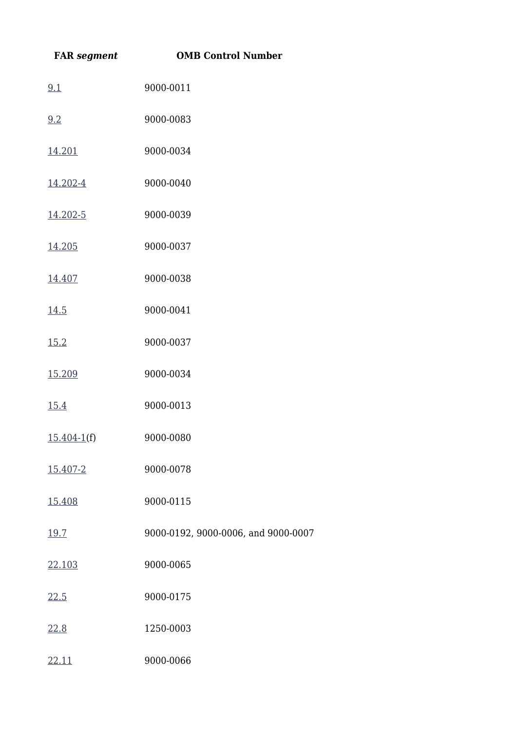| <b>FAR</b> segment | <b>OMB Control Number</b>           |
|--------------------|-------------------------------------|
| 9.1                | 9000-0011                           |
| 9.2                | 9000-0083                           |
| 14.201             | 9000-0034                           |
| 14.202-4           | 9000-0040                           |
| 14.202-5           | 9000-0039                           |
| 14.205             | 9000-0037                           |
| 14.407             | 9000-0038                           |
| 14.5               | 9000-0041                           |
| 15.2               | 9000-0037                           |
| 15.209             | 9000-0034                           |
| 15.4               | 9000-0013                           |
| $15.404-1(f)$      | 9000-0080                           |
| 15.407-2           | 9000-0078                           |
| 15.408             | 9000-0115                           |
| 19.7               | 9000-0192, 9000-0006, and 9000-0007 |
| 22.103             | 9000-0065                           |
| 22.5               | 9000-0175                           |
| 22.8               | 1250-0003                           |
| 22.11              | 9000-0066                           |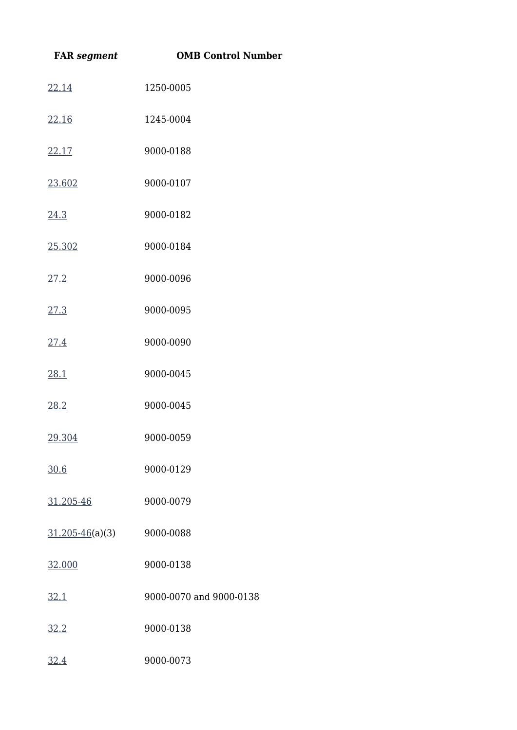| <b>FAR</b> segment  | <b>OMB Control Number</b> |
|---------------------|---------------------------|
| 22.14               | 1250-0005                 |
| 22.16               | 1245-0004                 |
| 22.17               | 9000-0188                 |
| 23.602              | 9000-0107                 |
| 24.3                | 9000-0182                 |
| 25.302              | 9000-0184                 |
| 27.2                | 9000-0096                 |
| 27.3                | 9000-0095                 |
| 27.4                | 9000-0090                 |
| 28.1                | 9000-0045                 |
| 28.2                | 9000-0045                 |
| 29.304              | 9000-0059                 |
| 30.6                | 9000-0129                 |
| 31.205-46           | 9000-0079                 |
| $31.205 - 46(a)(3)$ | 9000-0088                 |
| 32.000              | 9000-0138                 |
| 32.1                | 9000-0070 and 9000-0138   |
| 32.2                | 9000-0138                 |
| 32.4                | 9000-0073                 |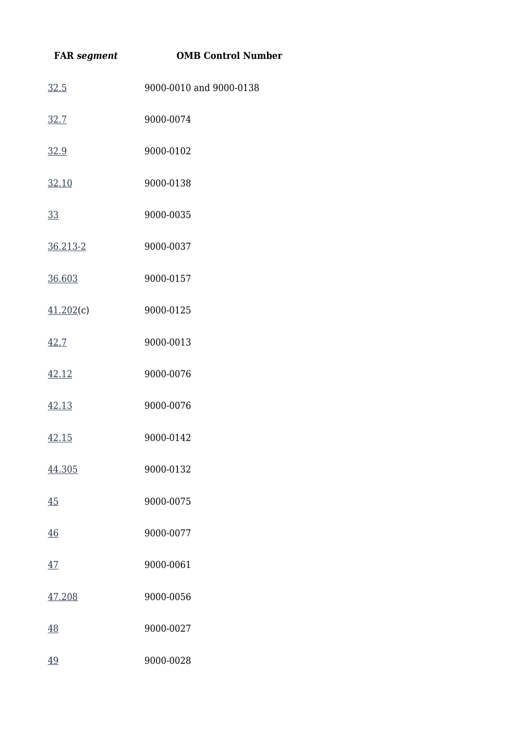| <b>FAR</b> segment | <b>OMB Control Number</b> |
|--------------------|---------------------------|
| 32.5               | 9000-0010 and 9000-0138   |
| 32.7               | 9000-0074                 |
| 32.9               | 9000-0102                 |
| 32.10              | 9000-0138                 |
| 33                 | 9000-0035                 |
| 36.213-2           | 9000-0037                 |
| 36.603             | 9000-0157                 |
| 41.202(c)          | 9000-0125                 |
| 42.7               | 9000-0013                 |
| 42.12              | 9000-0076                 |
| 42.13              | 9000-0076                 |
| 42.15              | 9000-0142                 |
| 44.305             | 9000-0132                 |
| 45                 | 9000-0075                 |
| 46                 | 9000-0077                 |
| 47                 | 9000-0061                 |
| 47.208             | 9000-0056                 |
| 48                 | 9000-0027                 |
| 49                 | 9000-0028                 |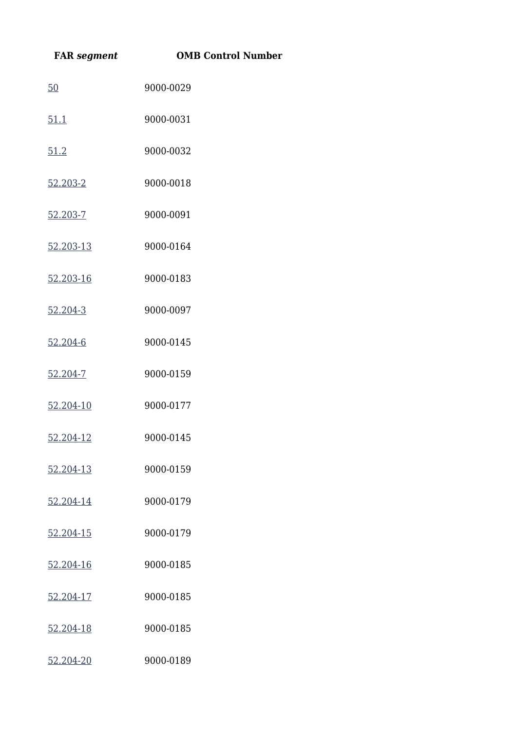| <b>FAR</b> segment | <b>OMB Control Number</b> |
|--------------------|---------------------------|
| 50                 | 9000-0029                 |
| 51.1               | 9000-0031                 |
| 51.2               | 9000-0032                 |
| 52.203-2           | 9000-0018                 |
| 52.203-7           | 9000-0091                 |
| 52.203-13          | 9000-0164                 |
| 52.203-16          | 9000-0183                 |
| 52.204-3           | 9000-0097                 |
| 52.204-6           | 9000-0145                 |
| 52.204-7           | 9000-0159                 |
| 52.204-10          | 9000-0177                 |
| 52.204-12          | 9000-0145                 |
| 52.204-13          | 9000-0159                 |
| 52.204-14          | 9000-0179                 |
| 52.204-15          | 9000-0179                 |
| 52.204-16          | 9000-0185                 |
| 52.204-17          | 9000-0185                 |
| 52.204-18          | 9000-0185                 |
| 52.204-20          | 9000-0189                 |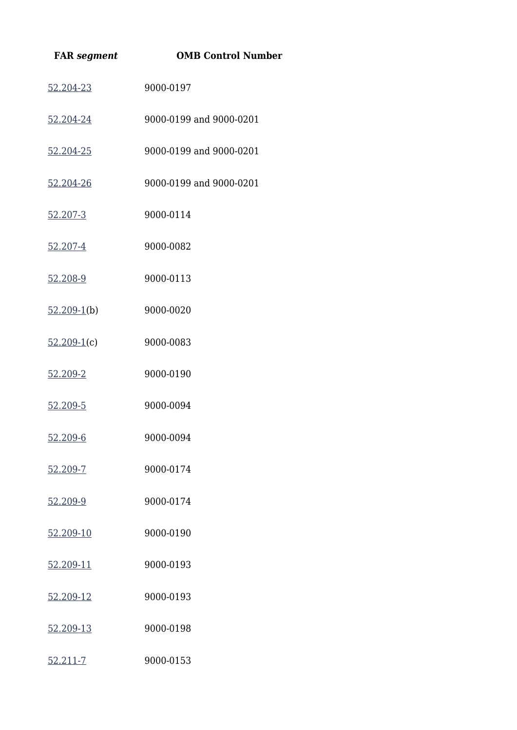| <b>FAR</b> segment | <b>OMB Control Number</b> |
|--------------------|---------------------------|
| 52.204-23          | 9000-0197                 |
| 52.204-24          | 9000-0199 and 9000-0201   |
| 52.204-25          | 9000-0199 and 9000-0201   |
| 52.204-26          | 9000-0199 and 9000-0201   |
| 52.207-3           | 9000-0114                 |
| 52.207-4           | 9000-0082                 |
| 52.208-9           | 9000-0113                 |
| $52.209-1(b)$      | 9000-0020                 |
| $52.209-1(c)$      | 9000-0083                 |
| 52.209-2           | 9000-0190                 |
| 52.209-5           | 9000-0094                 |
| 52.209-6           | 9000-0094                 |
| 52.209-7           | 9000-0174                 |
| 52.209-9           | 9000-0174                 |
| 52.209-10          | 9000-0190                 |
| 52.209-11          | 9000-0193                 |
| 52.209-12          | 9000-0193                 |
| 52.209-13          | 9000-0198                 |
| <u>52.211-7</u>    | 9000-0153                 |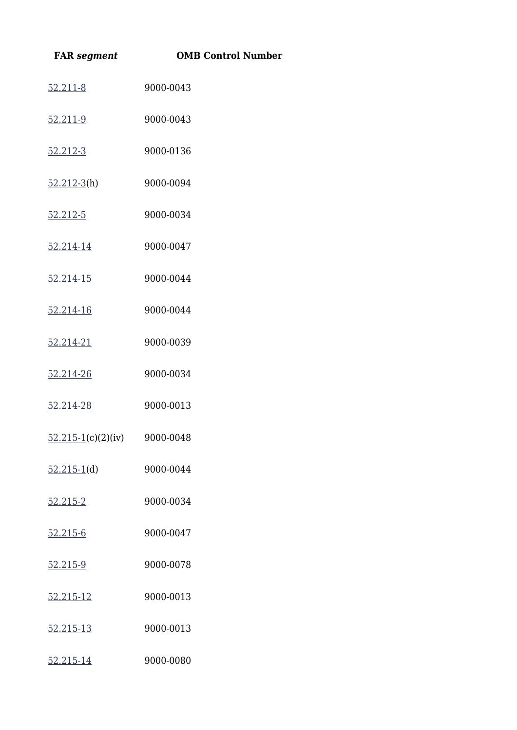| <b>FAR</b> segment                        | <b>OMB Control Number</b> |
|-------------------------------------------|---------------------------|
| 52.211-8                                  | 9000-0043                 |
| 52.211-9                                  | 9000-0043                 |
| 52.212-3                                  | 9000-0136                 |
| $52.212-3(h)$                             | 9000-0094                 |
| 52.212-5                                  | 9000-0034                 |
| 52.214-14                                 | 9000-0047                 |
| 52.214-15                                 | 9000-0044                 |
| 52.214-16                                 | 9000-0044                 |
| 52.214-21                                 | 9000-0039                 |
| 52.214-26                                 | 9000-0034                 |
| 52.214-28                                 | 9000-0013                 |
| $\frac{52.215-1}{c}$ (c)(2)(iv) 9000-0048 |                           |
| $52.215-1(d)$                             | 9000-0044                 |
| 52.215-2                                  | 9000-0034                 |
| 52.215-6                                  | 9000-0047                 |
| 52.215-9                                  | 9000-0078                 |
| 52.215-12                                 | 9000-0013                 |
| 52.215-13                                 | 9000-0013                 |
| 52.215-14                                 | 9000-0080                 |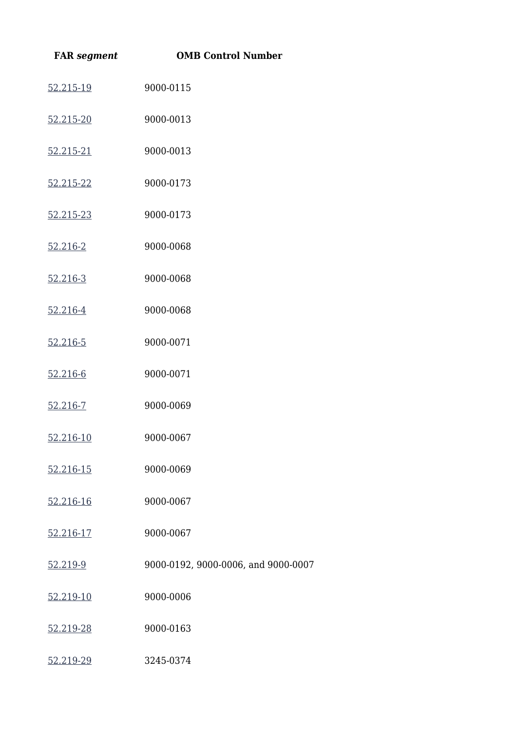| <b>FAR</b> segment | <b>OMB Control Number</b>           |
|--------------------|-------------------------------------|
| 52.215-19          | 9000-0115                           |
| 52.215-20          | 9000-0013                           |
| 52.215-21          | 9000-0013                           |
| 52.215-22          | 9000-0173                           |
| 52.215-23          | 9000-0173                           |
| 52.216-2           | 9000-0068                           |
| 52.216-3           | 9000-0068                           |
| 52.216-4           | 9000-0068                           |
| 52.216-5           | 9000-0071                           |
| 52.216-6           | 9000-0071                           |
| 52.216-7           | 9000-0069                           |
| 52.216-10          | 9000-0067                           |
| 52.216-15          | 9000-0069                           |
| 52.216-16          | 9000-0067                           |
| 52.216-17          | 9000-0067                           |
| 52.219-9           | 9000-0192, 9000-0006, and 9000-0007 |
| 52.219-10          | 9000-0006                           |
| 52.219-28          | 9000-0163                           |
| 52.219-29          | 3245-0374                           |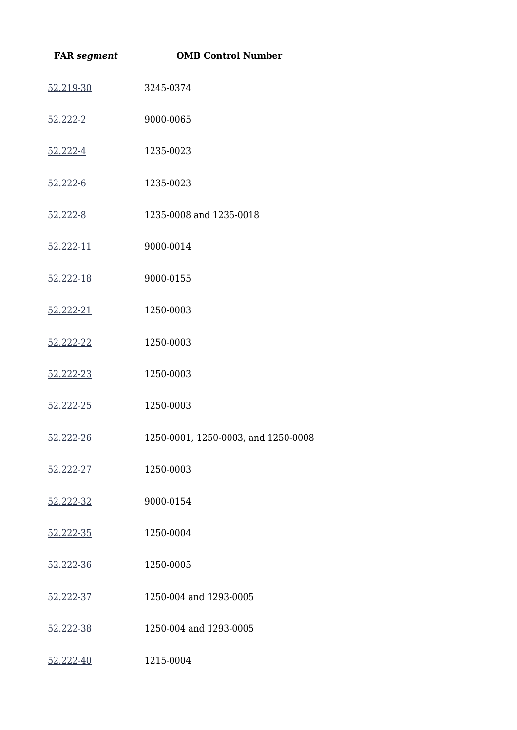| <b>FAR</b> segment | <b>OMB Control Number</b>           |
|--------------------|-------------------------------------|
| 52.219-30          | 3245-0374                           |
| 52.222-2           | 9000-0065                           |
| 52.222-4           | 1235-0023                           |
| 52.222-6           | 1235-0023                           |
| 52.222-8           | 1235-0008 and 1235-0018             |
| 52.222-11          | 9000-0014                           |
| 52.222-18          | 9000-0155                           |
| 52.222-21          | 1250-0003                           |
| 52.222-22          | 1250-0003                           |
| 52.222-23          | 1250-0003                           |
| 52.222-25          | 1250-0003                           |
| 52.222-26          | 1250-0001, 1250-0003, and 1250-0008 |
| 52.222-27          | 1250-0003                           |
| 52.222-32          | 9000-0154                           |
| 52.222-35          | 1250-0004                           |
| 52.222-36          | 1250-0005                           |
| 52.222-37          | 1250-004 and 1293-0005              |
| 52.222-38          | 1250-004 and 1293-0005              |
| 52.222-40          | 1215-0004                           |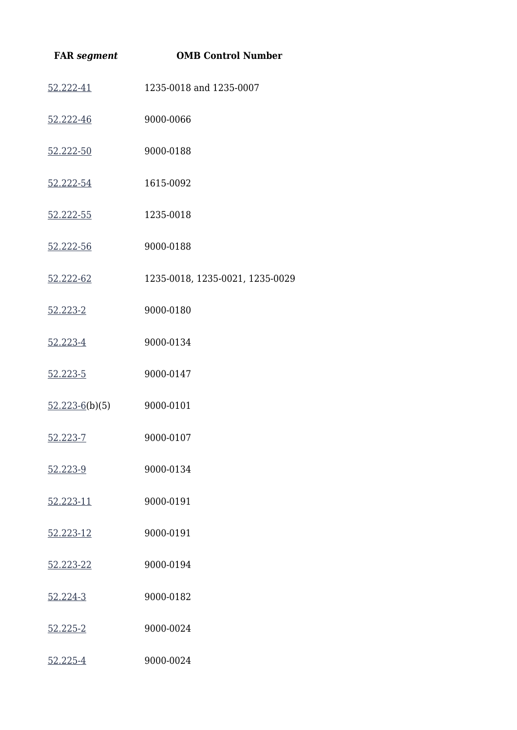| <b>FAR</b> segment | <b>OMB Control Number</b>       |
|--------------------|---------------------------------|
| 52.222-41          | 1235-0018 and 1235-0007         |
| 52.222-46          | 9000-0066                       |
| 52.222-50          | 9000-0188                       |
| 52.222-54          | 1615-0092                       |
| 52.222-55          | 1235-0018                       |
| 52.222-56          | 9000-0188                       |
| 52.222-62          | 1235-0018, 1235-0021, 1235-0029 |
| 52.223-2           | 9000-0180                       |
| 52.223-4           | 9000-0134                       |
| 52.223-5           | 9000-0147                       |
| $52.223 - 6(b)(5)$ | 9000-0101                       |
| 52.223-7           | 9000-0107                       |
| 52.223-9           | 9000-0134                       |
| 52.223-11          | 9000-0191                       |
| 52.223-12          | 9000-0191                       |
| 52.223-22          | 9000-0194                       |
| 52.224-3           | 9000-0182                       |
| 52.225-2           | 9000-0024                       |
| 52.225-4           | 9000-0024                       |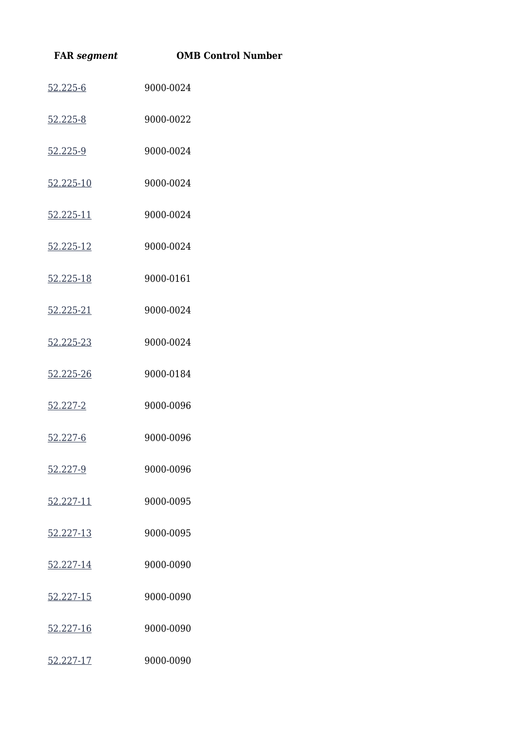| <b>FAR</b> segment | <b>OMB Control Number</b> |
|--------------------|---------------------------|
| 52.225-6           | 9000-0024                 |
| 52.225-8           | 9000-0022                 |
| 52.225-9           | 9000-0024                 |
| 52.225-10          | 9000-0024                 |
| 52.225-11          | 9000-0024                 |
| 52.225-12          | 9000-0024                 |
| 52.225-18          | 9000-0161                 |
| 52.225-21          | 9000-0024                 |
| 52.225-23          | 9000-0024                 |
| 52.225-26          | 9000-0184                 |
| 52.227-2           | 9000-0096                 |
| 52.227-6           | 9000-0096                 |
| 52.227-9           | 9000-0096                 |
| 52.227-11          | 9000-0095                 |
| 52.227-13          | 9000-0095                 |
| 52.227-14          | 9000-0090                 |
| 52.227-15          | 9000-0090                 |
| 52.227-16          | 9000-0090                 |
| 52.227-17          | 9000-0090                 |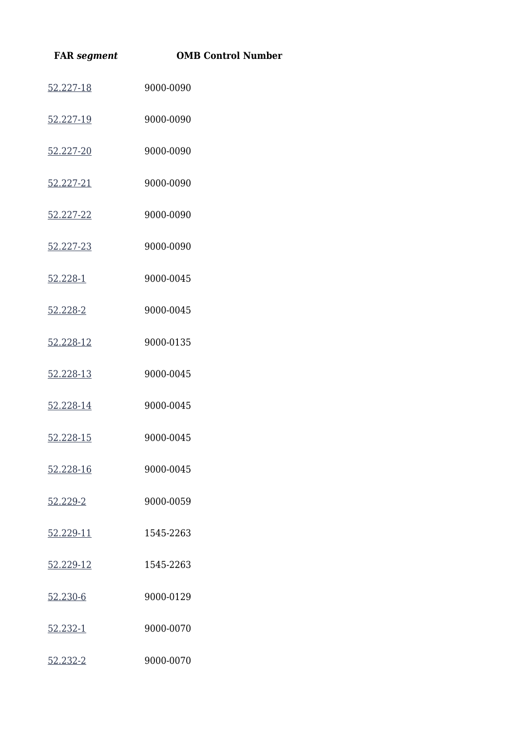| <b>FAR</b> segment | <b>OMB Control Number</b> |
|--------------------|---------------------------|
| 52.227-18          | 9000-0090                 |
| 52.227-19          | 9000-0090                 |
| 52.227-20          | 9000-0090                 |
| 52.227-21          | 9000-0090                 |
| 52.227-22          | 9000-0090                 |
| 52.227-23          | 9000-0090                 |
| 52.228-1           | 9000-0045                 |
| 52.228-2           | 9000-0045                 |
| 52.228-12          | 9000-0135                 |
| 52.228-13          | 9000-0045                 |
| 52.228-14          | 9000-0045                 |
| 52.228-15          | 9000-0045                 |
| 52.228-16          | 9000-0045                 |
| 52.229-2           | 9000-0059                 |
| 52.229-11          | 1545-2263                 |
| 52.229-12          | 1545-2263                 |
| 52.230-6           | 9000-0129                 |
| 52.232-1           | 9000-0070                 |
| 52.232-2           | 9000-0070                 |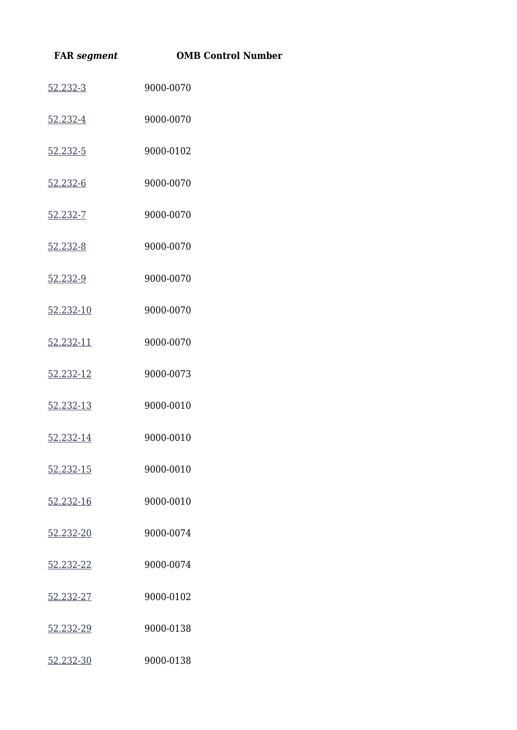| <b>FAR</b> segment | <b>OMB Control Number</b> |
|--------------------|---------------------------|
| 52.232-3           | 9000-0070                 |
| 52.232-4           | 9000-0070                 |
| 52.232-5           | 9000-0102                 |
| 52.232-6           | 9000-0070                 |
| 52.232-7           | 9000-0070                 |
| 52.232-8           | 9000-0070                 |
| 52.232-9           | 9000-0070                 |
| 52.232-10          | 9000-0070                 |
| 52.232-11          | 9000-0070                 |
| 52.232-12          | 9000-0073                 |
| 52.232-13          | 9000-0010                 |
| 52.232-14          | 9000-0010                 |
| 52.232-15          | 9000-0010                 |
| 52.232-16          | 9000-0010                 |
| 52.232-20          | 9000-0074                 |
| 52.232-22          | 9000-0074                 |
| 52.232-27          | 9000-0102                 |
| 52.232-29          | 9000-0138                 |
| 52.232-30          | 9000-0138                 |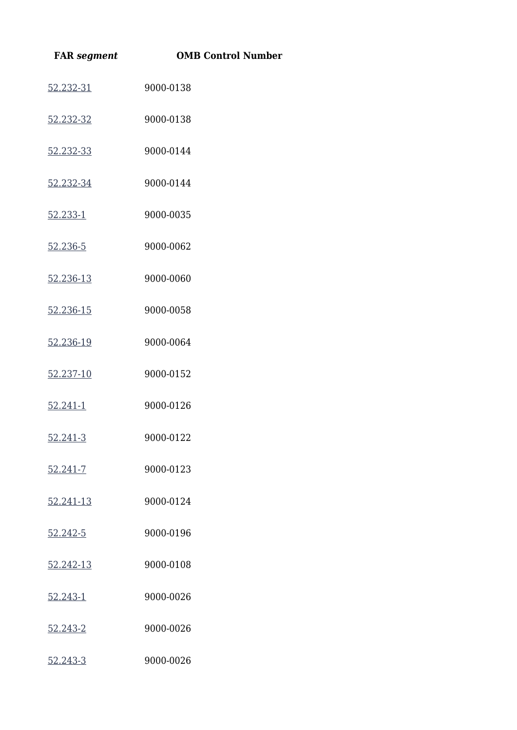| <b>FAR</b> segment | <b>OMB Control Number</b> |
|--------------------|---------------------------|
| 52.232-31          | 9000-0138                 |
| 52.232-32          | 9000-0138                 |
| 52.232-33          | 9000-0144                 |
| 52.232-34          | 9000-0144                 |
| 52.233-1           | 9000-0035                 |
| 52.236-5           | 9000-0062                 |
| 52.236-13          | 9000-0060                 |
| 52.236-15          | 9000-0058                 |
| 52.236-19          | 9000-0064                 |
| 52.237-10          | 9000-0152                 |
| 52.241-1           | 9000-0126                 |
| 52.241-3           | 9000-0122                 |
| 52.241-7           | 9000-0123                 |
| 52.241-13          | 9000-0124                 |
| 52.242-5           | 9000-0196                 |
| 52.242-13          | 9000-0108                 |
| 52.243-1           | 9000-0026                 |
| 52.243-2           | 9000-0026                 |
| 52.243-3           | 9000-0026                 |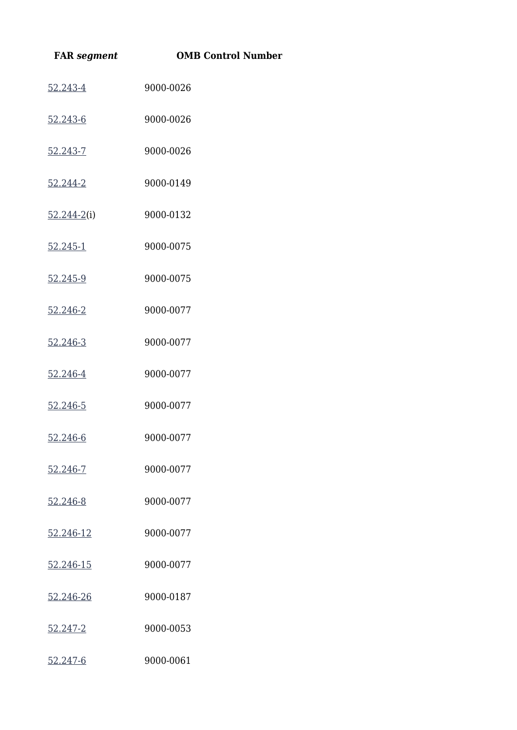| <b>FAR</b> segment | <b>OMB Control Number</b> |
|--------------------|---------------------------|
| 52.243-4           | 9000-0026                 |
| 52.243-6           | 9000-0026                 |
| 52.243-7           | 9000-0026                 |
| 52.244-2           | 9000-0149                 |
| $52.244 - 2(i)$    | 9000-0132                 |
| 52.245-1           | 9000-0075                 |
| 52.245-9           | 9000-0075                 |
| 52.246-2           | 9000-0077                 |
| 52.246-3           | 9000-0077                 |
| 52.246-4           | 9000-0077                 |
| 52.246-5           | 9000-0077                 |
| 52.246-6           | 9000-0077                 |
| 52.246-7           | 9000-0077                 |
| 52.246-8           | 9000-0077                 |
| 52.246-12          | 9000-0077                 |
| 52.246-15          | 9000-0077                 |
| 52.246-26          | 9000-0187                 |
| 52.247-2           | 9000-0053                 |
| 52.247-6           | 9000-0061                 |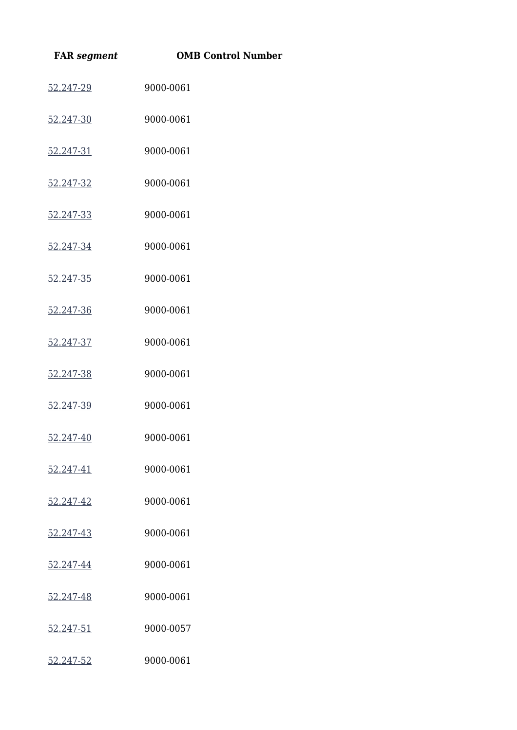| <b>FAR</b> segment | <b>OMB Control Number</b> |
|--------------------|---------------------------|
| 52.247-29          | 9000-0061                 |
| 52.247-30          | 9000-0061                 |
| 52.247-31          | 9000-0061                 |
| 52.247-32          | 9000-0061                 |
| 52.247-33          | 9000-0061                 |
| 52.247-34          | 9000-0061                 |
| 52.247-35          | 9000-0061                 |
| 52.247-36          | 9000-0061                 |
| 52.247-37          | 9000-0061                 |
| 52.247-38          | 9000-0061                 |
| 52.247-39          | 9000-0061                 |
| 52.247-40          | 9000-0061                 |
| 52.247-41          | 9000-0061                 |
| 52.247-42          | 9000-0061                 |
| 52.247-43          | 9000-0061                 |
| 52.247-44          | 9000-0061                 |
| 52.247-48          | 9000-0061                 |
| 52.247-51          | 9000-0057                 |
| 52.247-52          | 9000-0061                 |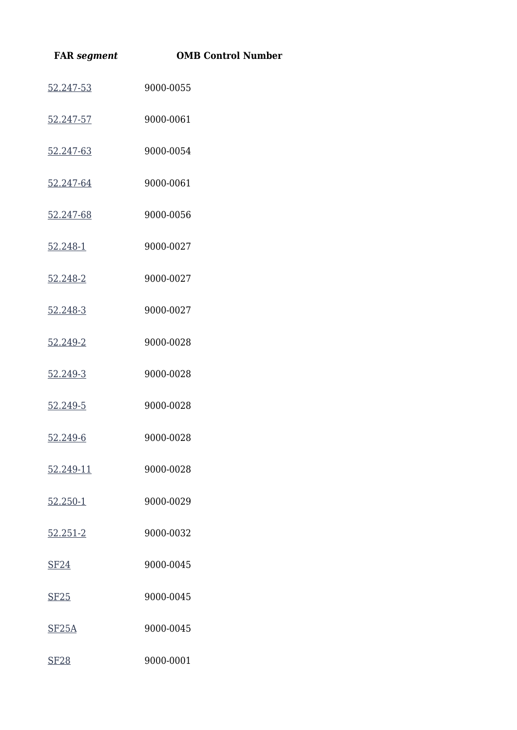| <b>FAR</b> segment | <b>OMB Control Number</b> |
|--------------------|---------------------------|
| 52.247-53          | 9000-0055                 |
| 52.247-57          | 9000-0061                 |
| 52.247-63          | 9000-0054                 |
| 52.247-64          | 9000-0061                 |
| 52.247-68          | 9000-0056                 |
| 52.248-1           | 9000-0027                 |
| 52.248-2           | 9000-0027                 |
| 52.248-3           | 9000-0027                 |
| 52.249-2           | 9000-0028                 |
| 52.249-3           | 9000-0028                 |
| 52.249-5           | 9000-0028                 |
| 52.249-6           | 9000-0028                 |
| 52.249-11          | 9000-0028                 |
| 52.250-1           | 9000-0029                 |
| $52.251 - 2$       | 9000-0032                 |
| SF24               | 9000-0045                 |
| <b>SF25</b>        | 9000-0045                 |
| SF <sub>25</sub> A | 9000-0045                 |
| <b>SF28</b>        | 9000-0001                 |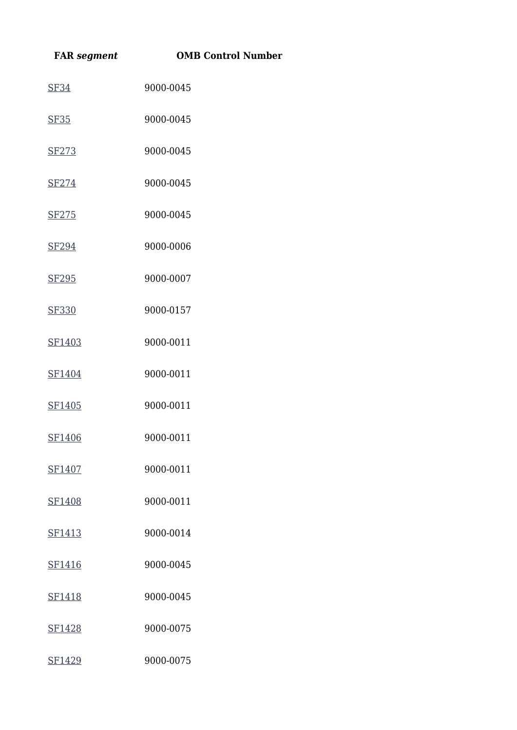| <b>FAR</b> segment | <b>OMB Control Number</b> |
|--------------------|---------------------------|
| <b>SF34</b>        | 9000-0045                 |
| <b>SF35</b>        | 9000-0045                 |
| SF273              | 9000-0045                 |
| SF274              | 9000-0045                 |
| SF275              | 9000-0045                 |
| SF294              | 9000-0006                 |
| SF295              | 9000-0007                 |
| SF330              | 9000-0157                 |
| SF1403             | 9000-0011                 |
| SF1404             | 9000-0011                 |
| SF1405             | 9000-0011                 |
| SF1406             | 9000-0011                 |
| SF1407             | 9000-0011                 |
| SF1408             | 9000-0011                 |
| SF1413             | 9000-0014                 |
| SF1416             | 9000-0045                 |
| SF1418             | 9000-0045                 |
| SF1428             | 9000-0075                 |
| SF1429             | 9000-0075                 |